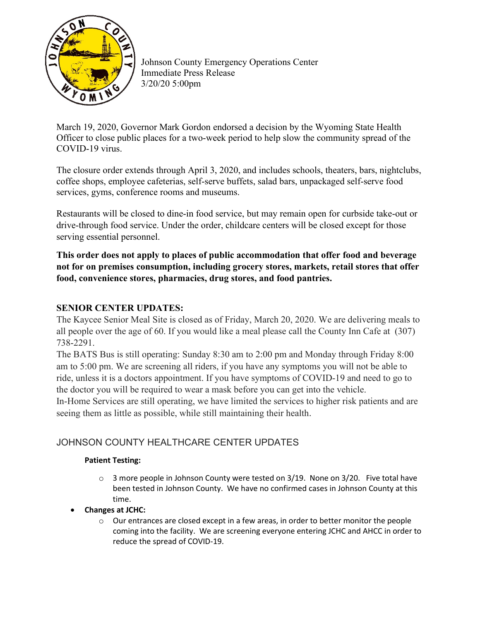

Johnson County Emergency Operations Center Immediate Press Release 3/20/20 5:00pm

March 19, 2020, Governor Mark Gordon endorsed a decision by the Wyoming State Health Officer to close public places for a two-week period to help slow the community spread of the COVID-19 virus.

The closure order extends through April 3, 2020, and includes schools, theaters, bars, nightclubs, coffee shops, employee cafeterias, self-serve buffets, salad bars, unpackaged self-serve food services, gyms, conference rooms and museums.

Restaurants will be closed to dine-in food service, but may remain open for curbside take-out or drive-through food service. Under the order, childcare centers will be closed except for those serving essential personnel.

**This order does not apply to places of public accommodation that offer food and beverage not for on premises consumption, including grocery stores, markets, retail stores that offer food, convenience stores, pharmacies, drug stores, and food pantries.**

## **SENIOR CENTER UPDATES:**

The Kaycee Senior Meal Site is closed as of Friday, March 20, 2020. We are delivering meals to all people over the age of 60. If you would like a meal please call the County Inn Cafe at (307) 738-2291.

The BATS Bus is still operating: Sunday 8:30 am to 2:00 pm and Monday through Friday 8:00 am to 5:00 pm. We are screening all riders, if you have any symptoms you will not be able to ride, unless it is a doctors appointment. If you have symptoms of COVID-19 and need to go to the doctor you will be required to wear a mask before you can get into the vehicle.

In-Home Services are still operating, we have limited the services to higher risk patients and are seeing them as little as possible, while still maintaining their health.

## JOHNSON COUNTY HEALTHCARE CENTER UPDATES

## **Patient Testing:**

- $\circ$  3 more people in Johnson County were tested on 3/19. None on 3/20. Five total have been tested in Johnson County. We have no confirmed cases in Johnson County at this time.
- **Changes at JCHC:**
	- $\circ$  Our entrances are closed except in a few areas, in order to better monitor the people coming into the facility. We are screening everyone entering JCHC and AHCC in order to reduce the spread of COVID-19.